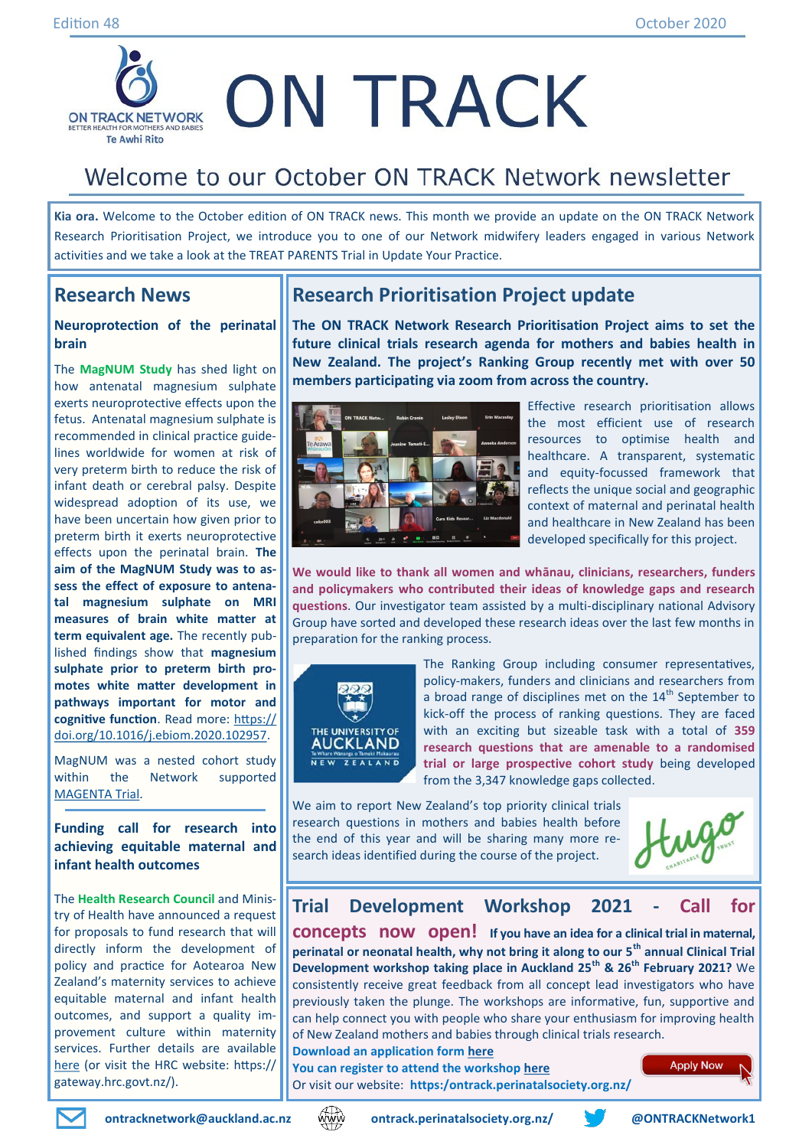

# Welcome to our October ON TRACK Network newsletter

**Kia ora.** Welcome to the October edition of ON TRACK news. This month we provide an update on the ON TRACK Network Research Prioritisation Project, we introduce you to one of our Network midwifery leaders engaged in various Network activities and we take a look at the TREAT PARENTS Trial in Update Your Practice.

## **Research News**

#### **Neuroprotection of the perinatal brain**

The **MagNUM Study** has shed light on how antenatal magnesium sulphate exerts neuroprotective effects upon the fetus. Antenatal magnesium sulphate is recommended in clinical practice guidelines worldwide for women at risk of very preterm birth to reduce the risk of infant death or cerebral palsy. Despite widespread adoption of its use, we have been uncertain how given prior to preterm birth it exerts neuroprotective effects upon the perinatal brain. **The aim of the MagNUM Study was to assess the effect of exposure to antenatal magnesium sulphate on MRI measures of brain white matter at term equivalent age.** The recently published findings show that **magnesium sulphate prior to preterm birth promotes white matter development in pathways important for motor and cognitive function**. Read more: [https://](https://doi.org/10.1016/j.ebiom.2020.102957) [doi.org/10.1016/j.ebiom.2020.102957.](https://doi.org/10.1016/j.ebiom.2020.102957)

MagNUM was a nested cohort study within the Network supported [MAGENTA Trial.](https://ontrack.perinatalsociety.org.nz/recruitment-completed/)

**Funding call for research into achieving equitable maternal and infant health outcomes**

The **Health Research Council** and Ministry of Health have announced a request for proposals to fund research that will directly inform the development of policy and practice for Aotearoa New Zealand's maternity services to achieve equitable maternal and infant health outcomes, and support a quality improvement culture within maternity services. Further details are available [here](https://gateway.hrc.govt.nz/funding/requests-for-proposals/2020-maternity-services-research-request-for-proposals) (or visit the HRC website: https:// gateway.hrc.govt.nz/).

## **Research Prioritisation Project update**

**The ON TRACK Network Research Prioritisation Project aims to set the future clinical trials research agenda for mothers and babies health in New Zealand. The project's Ranking Group recently met with over 50 members participating via zoom from across the country.**



Effective research prioritisation allows the most efficient use of research resources to optimise health and healthcare. A transparent, systematic and equity-focussed framework that reflects the unique social and geographic context of maternal and perinatal health and healthcare in New Zealand has been developed specifically for this project.

**We would like to thank all women and whānau, clinicians, researchers, funders and policymakers who contributed their ideas of knowledge gaps and research questions**. Our investigator team assisted by a multi-disciplinary national Advisory Group have sorted and developed these research ideas over the last few months in preparation for the ranking process.



The Ranking Group including consumer representatives, policy-makers, funders and clinicians and researchers from a broad range of disciplines met on the  $14<sup>th</sup>$  September to kick-off the process of ranking questions. They are faced with an exciting but sizeable task with a total of **359 research questions that are amenable to a randomised trial or large prospective cohort study** being developed from the 3,347 knowledge gaps collected.

We aim to report New Zealand's top priority clinical trials research questions in mothers and babies health before the end of this year and will be sharing many more research ideas identified during the course of the project.

## **Trial Development Workshop 2021 - Call for**

**concepts now open! If you have an idea for a clinical trial in maternal, perinatal or neonatal health, why not bring it along to our 5th annual Clinical Trial Development workshop taking place in Auckland 25th & 26th February 2021?** We consistently receive great feedback from all concept lead investigators who have previously taken the plunge. The workshops are informative, fun, supportive and can help connect you with people who share your enthusiasm for improving health of New Zealand mothers and babies through clinical trials research. **Download an application form [here](https://ontrack.perinatalsociety.org.nz/2021-on-track-network-trial-development-workshop/)**

**You can register to attend the workshop [here](https://uoaevents.eventsair.com/ontrack2021/on-track)** Or visit our website: **https:/ontrack.perinatalsociety.org.nz/**





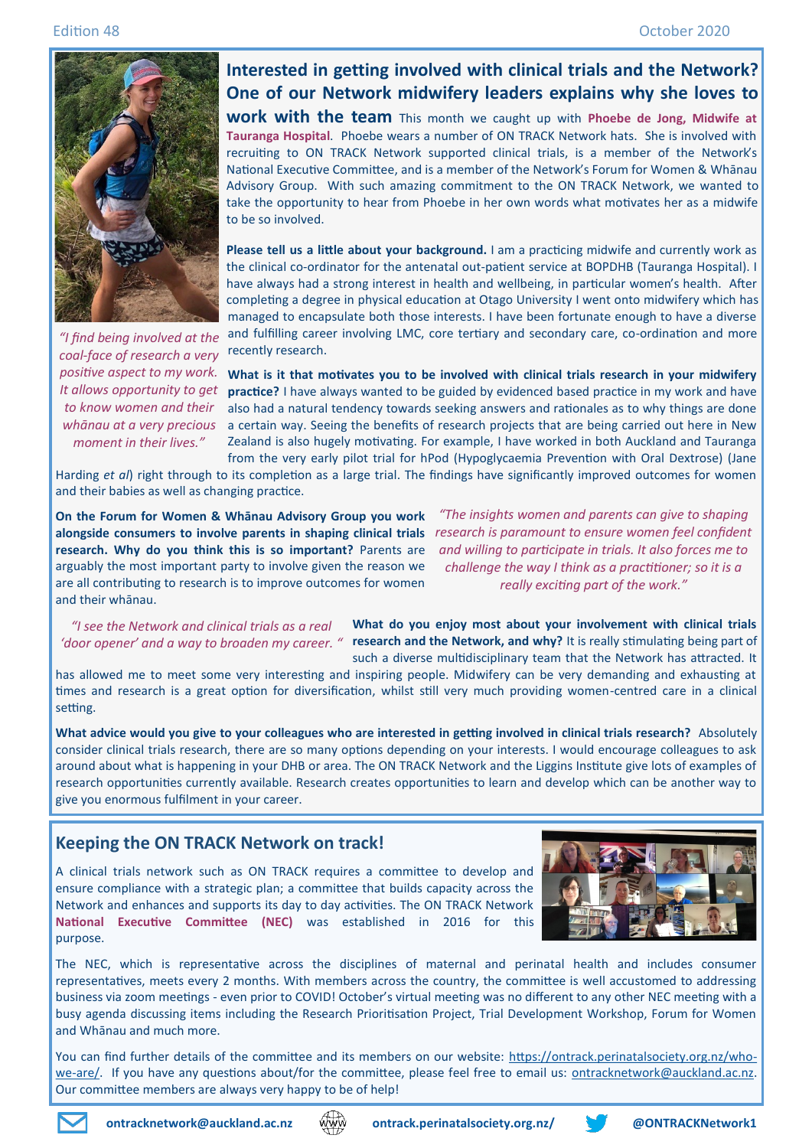

**Interested in getting involved with clinical trials and the Network? One of our Network midwifery leaders explains why she loves to** 

**work with the team** This month we caught up with **Phoebe de Jong, Midwife at Tauranga Hospital**. Phoebe wears a number of ON TRACK Network hats. She is involved with recruiting to ON TRACK Network supported clinical trials, is a member of the Network's National Executive Committee, and is a member of the Network's Forum for Women & Whānau Advisory Group. With such amazing commitment to the ON TRACK Network, we wanted to take the opportunity to hear from Phoebe in her own words what motivates her as a midwife to be so involved.

**Please tell us a little about your background.** I am a practicing midwife and currently work as the clinical co-ordinator for the antenatal out-patient service at BOPDHB (Tauranga Hospital). I have always had a strong interest in health and wellbeing, in particular women's health. After completing a degree in physical education at Otago University I went onto midwifery which has managed to encapsulate both those interests. I have been fortunate enough to have a diverse and fulfilling career involving LMC, core tertiary and secondary care, co-ordination and more recently research.

**What is it that motivates you to be involved with clinical trials research in your midwifery practice?** I have always wanted to be guided by evidenced based practice in my work and have also had a natural tendency towards seeking answers and rationales as to why things are done a certain way. Seeing the benefits of research projects that are being carried out here in New Zealand is also hugely motivating. For example, I have worked in both Auckland and Tauranga from the very early pilot trial for hPod (Hypoglycaemia Prevention with Oral Dextrose) (Jane

Harding *et al*) right through to its completion as a large trial. The findings have significantly improved outcomes for women and their babies as well as changing practice.

**On the Forum for Women & Whānau Advisory Group you work alongside consumers to involve parents in shaping clinical trials**  *research is paramount to ensure women feel confident*  **research. Why do you think this is so important?** Parents are arguably the most important party to involve given the reason we are all contributing to research is to improve outcomes for women and their whānau.

*"The insights women and parents can give to shaping and willing to participate in trials. It also forces me to challenge the way I think as a practitioner; so it is a really exciting part of the work."*

**What do you enjoy most about your involvement with clinical trials**  '*door opener' and a way to broaden my career. "* research and the Network, and why? It is really stimulating being part of such a diverse multidisciplinary team that the Network has attracted. It *"I see the Network and clinical trials as a real* 

has allowed me to meet some very interesting and inspiring people. Midwifery can be very demanding and exhausting at times and research is a great option for diversification, whilst still very much providing women-centred care in a clinical setting.

**What advice would you give to your colleagues who are interested in getting involved in clinical trials research?** Absolutely consider clinical trials research, there are so many options depending on your interests. I would encourage colleagues to ask around about what is happening in your DHB or area. The ON TRACK Network and the Liggins Institute give lots of examples of research opportunities currently available. Research creates opportunities to learn and develop which can be another way to give you enormous fulfilment in your career.

### **Keeping the ON TRACK Network on track!**

A clinical trials network such as ON TRACK requires a committee to develop and ensure compliance with a strategic plan; a committee that builds capacity across the Network and enhances and supports its day to day activities. The ON TRACK Network **National Executive Committee (NEC)** was established in 2016 for this purpose.



The NEC, which is representative across the disciplines of maternal and perinatal health and includes consumer representatives, meets every 2 months. With members across the country, the committee is well accustomed to addressing business via zoom meetings - even prior to COVID! October's virtual meeting was no different to any other NEC meeting with a busy agenda discussing items including the Research Prioritisation Project, Trial Development Workshop, Forum for Women and Whānau and much more.

You can find further details of the committee and its members on our website: [https://ontrack.perinatalsociety.org.nz/who](https://ontrack.perinatalsociety.org.nz/who-we-are/)we-[are/.](https://ontrack.perinatalsociety.org.nz/who-we-are/) If you have any questions about/for the committee, please feel free to email us: [ontracknetwork@auckland.ac.nz.](mailto:ontracknetwork@auckland.ac.nz) Our committee members are always very happy to be of help!



*moment in their lives."*



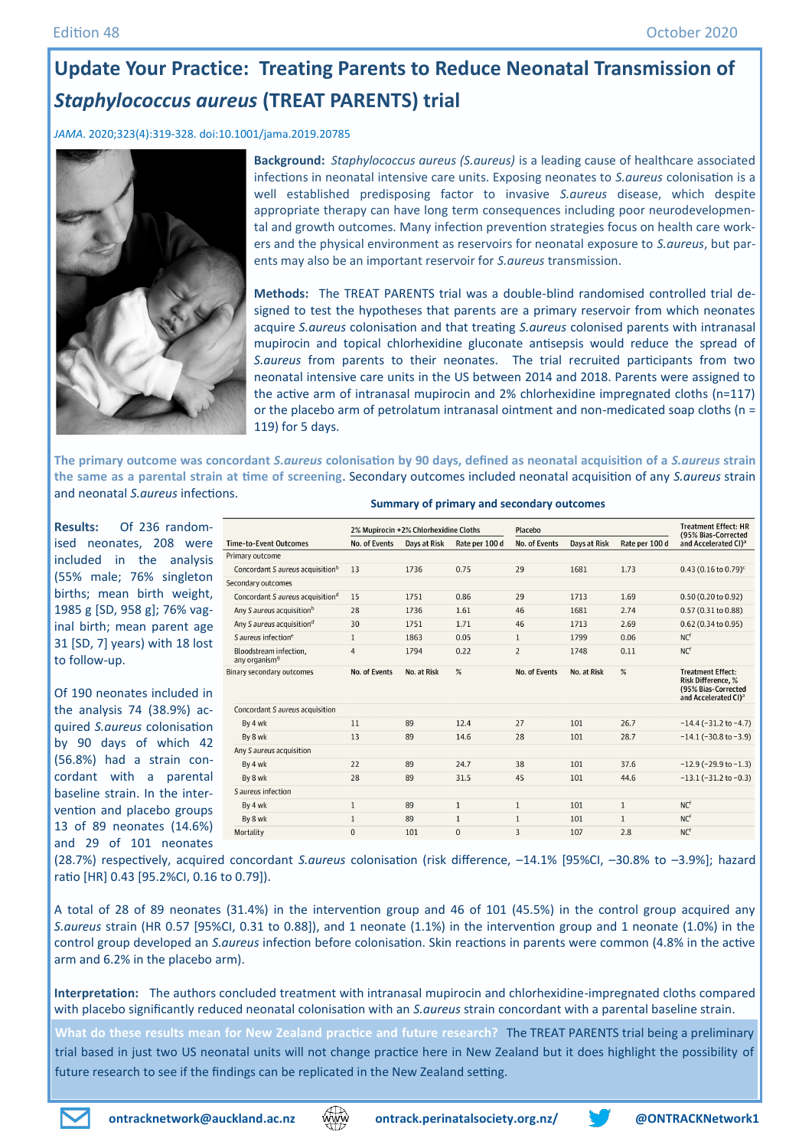# **Update Your Practice: Treating Parents to Reduce Neonatal Transmission of**  *Staphylococcus aureus* **(TREAT PARENTS) trial**

*JAMA*. 2020;323(4):319-328. doi:10.1001/jama.2019.20785



**Background:** *Staphylococcus aureus (S.aureus)* is a leading cause of healthcare associated infections in neonatal intensive care units. Exposing neonates to *S.aureus* colonisation is a well established predisposing factor to invasive *S.aureus* disease, which despite appropriate therapy can have long term consequences including poor neurodevelopmental and growth outcomes. Many infection prevention strategies focus on health care workers and the physical environment as reservoirs for neonatal exposure to *S.aureus*, but parents may also be an important reservoir for *S.aureus* transmission.

**Methods:** The TREAT PARENTS trial was a double-blind randomised controlled trial designed to test the hypotheses that parents are a primary reservoir from which neonates acquire *S.aureus* colonisation and that treating *S.aureus* colonised parents with intranasal mupirocin and topical chlorhexidine gluconate antisepsis would reduce the spread of *S.aureus* from parents to their neonates. The trial recruited participants from two neonatal intensive care units in the US between 2014 and 2018. Parents were assigned to the active arm of intranasal mupirocin and 2% chlorhexidine impregnated cloths (n=117) or the placebo arm of petrolatum intranasal ointment and non-medicated soap cloths (n = 119) for 5 days.

**The primary outcome was concordant** *S.aureus* **colonisation by 90 days, defined as neonatal acquisition of a** *S.aureus* **strain the same as a parental strain at time of screening**. Secondary outcomes included neonatal acquisition of any *S.aureus* strain and neonatal *S.aureus* infections.

**Results:** Of 236 randomised neonates, 208 were included in the analysis (55% male; 76% singleton births; mean birth weight, 1985 g [SD, 958 g]; 76% vaginal birth; mean parent age 31 [SD, 7] years) with 18 lost to follow-up.

Of 190 neonates included in the analysis 74 (38.9%) acquired *S.aureus* colonisation by 90 days of which 42 (56.8%) had a strain concordant with a parental baseline strain. In the intervention and placebo groups 13 of 89 neonates (14.6%) and 29 of 101 neonates

|                                                     |                | 2% Mupirocin +2% Chlorhexidine Cloths |                | Placebo        |              |                | <b>Treatment Effect: HR</b><br>(95% Bias-Corrected                                                               |
|-----------------------------------------------------|----------------|---------------------------------------|----------------|----------------|--------------|----------------|------------------------------------------------------------------------------------------------------------------|
| 'ime-to-Event Outcomes                              | No. of Events  | Days at Risk                          | Rate per 100 d | No. of Events  | Days at Risk | Rate per 100 d | and Accelerated CI) <sup>a</sup>                                                                                 |
| rimary outcome                                      |                |                                       |                |                |              |                |                                                                                                                  |
| Concordant S aureus acquisition <sup>b</sup>        | 13             | 1736                                  | 0.75           | 29             | 1681         | 1.73           | $0.43$ (0.16 to 0.79) <sup>c</sup>                                                                               |
| econdary outcomes                                   |                |                                       |                |                |              |                |                                                                                                                  |
| Concordant S aureus acquisition <sup>d</sup>        | 15             | 1751                                  | 0.86           | 29             | 1713         | 1.69           | 0.50 (0.20 to 0.92)                                                                                              |
| Any S aureus acquisition <sup>b</sup>               | 28             | 1736                                  | 1.61           | 46             | 1681         | 2.74           | 0.57 (0.31 to 0.88)                                                                                              |
| Any S aureus acquisition <sup>d</sup>               | 30             | 1751                                  | 1.71           | 46             | 1713         | 2.69           | 0.62 (0.34 to 0.95)                                                                                              |
| S aureus infection <sup>e</sup>                     | $\mathbf{1}$   | 1863                                  | 0.05           | $\mathbf{1}$   | 1799         | 0.06           | NC <sup>f</sup>                                                                                                  |
| Bloodstream infection.<br>any organism <sup>9</sup> | $\overline{4}$ | 1794                                  | 0.22           | $\overline{2}$ | 1748         | 0.11           | NC <sup>f</sup>                                                                                                  |
| linary secondary outcomes                           | No. of Events  | No. at Risk                           | %              | No. of Events  | No. at Risk  | %              | <b>Treatment Effect:</b><br><b>Risk Difference. %</b><br>(95% Bias-Corrected<br>and Accelerated CI) <sup>a</sup> |
| Concordant S aureus acquisition                     |                |                                       |                |                |              |                |                                                                                                                  |
| By 4 wk                                             | 11             | 89                                    | 12.4           | 27             | 101          | 26.7           | $-14.4$ ( $-31.2$ to $-4.7$ )                                                                                    |
| By 8 wk                                             | 13             | 89                                    | 14.6           | 28             | 101          | 28.7           | $-14.1$ ( $-30.8$ to $-3.9$ )                                                                                    |
| Any S aureus acquisition                            |                |                                       |                |                |              |                |                                                                                                                  |
| By 4 wk                                             | 22             | 89                                    | 24.7           | 38             | 101          | 37.6           | $-12.9$ (-29.9 to -1.3)                                                                                          |
| By 8 wk                                             | 28             | 89                                    | 31.5           | 45             | 101          | 44.6           | $-13.1$ ( $-31.2$ to $-0.3$ )                                                                                    |
| S aureus infection                                  |                |                                       |                |                |              |                |                                                                                                                  |
| By 4 wk                                             | $\mathbf{1}$   | 89                                    | $\mathbf{1}$   | $\mathbf{1}$   | 101          | $\mathbf{1}$   | NC <sup>f</sup>                                                                                                  |
| By 8 wk                                             | $\mathbf{1}$   | 89                                    | $\mathbf{1}$   | $\mathbf{1}$   | 101          | $\mathbf{1}$   | NC <sup>f</sup>                                                                                                  |
| Mortality                                           | $\mathbf{0}$   | 101                                   | 0              | 3              | 107          | 2.8            | NC <sup>f</sup>                                                                                                  |

#### **Summary of primary and secondary outcomes**

(28.7%) respectively, acquired concordant *S.aureus* colonisation (risk difference, –14.1% [95%CI, –30.8% to –3.9%]; hazard ratio [HR] 0.43 [95.2%CI, 0.16 to 0.79]).

A total of 28 of 89 neonates (31.4%) in the intervention group and 46 of 101 (45.5%) in the control group acquired any *S.aureus* strain (HR 0.57 [95%CI, 0.31 to 0.88]), and 1 neonate (1.1%) in the intervention group and 1 neonate (1.0%) in the control group developed an *S.aureus* infection before colonisation. Skin reactions in parents were common (4.8% in the active arm and 6.2% in the placebo arm).

**Interpretation:** The authors concluded treatment with intranasal mupirocin and chlorhexidine-impregnated cloths compared with placebo significantly reduced neonatal colonisation with an *S.aureus* strain concordant with a parental baseline strain.

**What do these results mean for New Zealand practice and future research?** The TREAT PARENTS trial being a preliminary trial based in just two US neonatal units will not change practice here in New Zealand but it does highlight the possibility of future research to see if the findings can be replicated in the New Zealand setting.